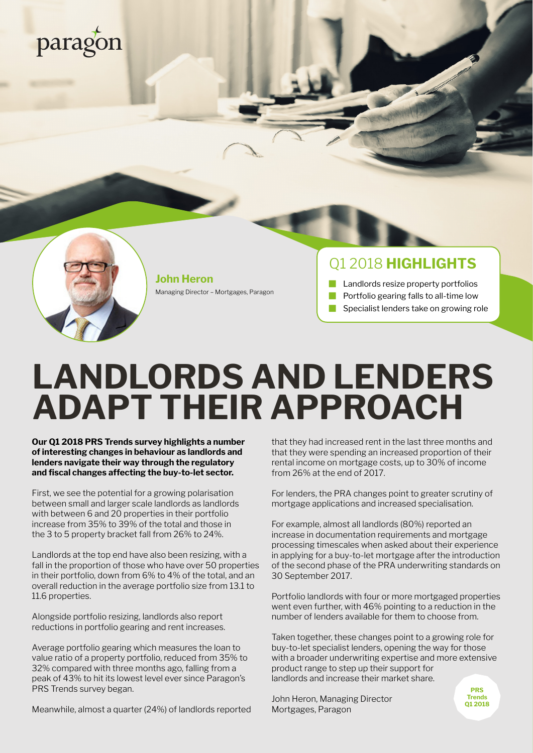# paragon



**John Heron** Managing Director – Mortgages, Paragon

### Q1 2018 **HIGHLIGHTS**

 Landlords resize property portfolios Portfolio gearing falls to all-time low Specialist lenders take on growing role

# **LANDLORDS AND LENDERS ADAPT THEIR APPROACH**

**Our Q1 2018 PRS Trends survey highlights a number of interesting changes in behaviour as landlords and lenders navigate their way through the regulatory and fiscal changes affecting the buy-to-let sector.** 

First, we see the potential for a growing polarisation between small and larger scale landlords as landlords with between 6 and 20 properties in their portfolio increase from 35% to 39% of the total and those in the 3 to 5 property bracket fall from 26% to 24%.

Landlords at the top end have also been resizing, with a fall in the proportion of those who have over 50 properties in their portfolio, down from 6% to 4% of the total, and an overall reduction in the average portfolio size from 13.1 to 11.6 properties.

Alongside portfolio resizing, landlords also report reductions in portfolio gearing and rent increases.

Average portfolio gearing which measures the loan to value ratio of a property portfolio, reduced from 35% to 32% compared with three months ago, falling from a peak of 43% to hit its lowest level ever since Paragon's PRS Trends survey began.

Meanwhile, almost a quarter (24%) of landlords reported

that they had increased rent in the last three months and that they were spending an increased proportion of their rental income on mortgage costs, up to 30% of income from 26% at the end of 2017.

For lenders, the PRA changes point to greater scrutiny of mortgage applications and increased specialisation.

For example, almost all landlords (80%) reported an increase in documentation requirements and mortgage processing timescales when asked about their experience in applying for a buy-to-let mortgage after the introduction of the second phase of the PRA underwriting standards on 30 September 2017.

Portfolio landlords with four or more mortgaged properties went even further, with 46% pointing to a reduction in the number of lenders available for them to choose from.

Taken together, these changes point to a growing role for buy-to-let specialist lenders, opening the way for those with a broader underwriting expertise and more extensive product range to step up their support for landlords and increase their market share.

John Heron, Managing Director Mortgages, Paragon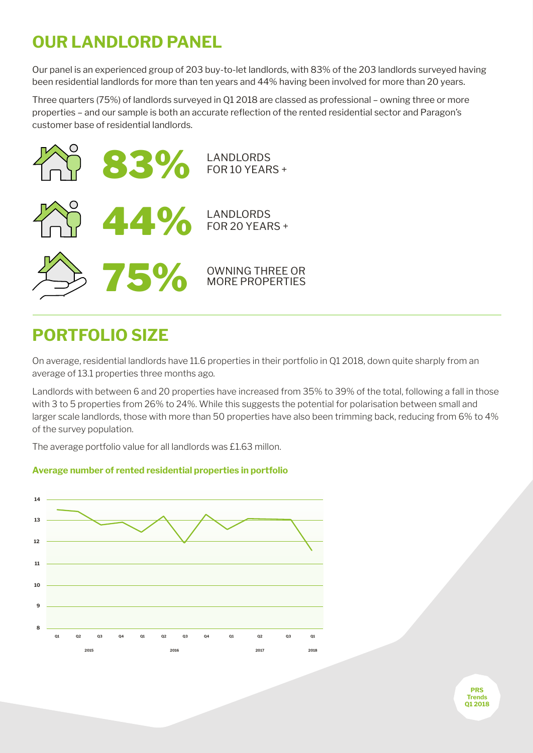### **OUR LANDLORD PANEL**

Our panel is an experienced group of 203 buy-to-let landlords, with 83% of the 203 landlords surveyed having been residential landlords for more than ten years and 44% having been involved for more than 20 years.

Three quarters (75%) of landlords surveyed in Q1 2018 are classed as professional – owning three or more properties – and our sample is both an accurate reflection of the rented residential sector and Paragon's customer base of residential landlords.



### **PORTFOLIO SIZE**

On average, residential landlords have 11.6 properties in their portfolio in Q1 2018, down quite sharply from an average of 13.1 properties three months ago.

Landlords with between 6 and 20 properties have increased from 35% to 39% of the total, following a fall in those with 3 to 5 properties from 26% to 24%. While this suggests the potential for polarisation between small and larger scale landlords, those with more than 50 properties have also been trimming back, reducing from 6% to 4% of the survey population.

The average portfolio value for all landlords was £1.63 millon.

#### **Average number of rented residential properties in portfolio**

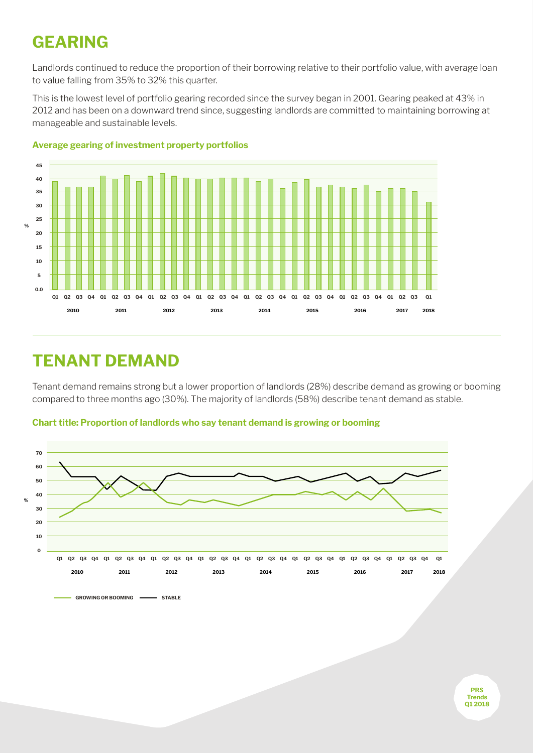### **GEARING**

Landlords continued to reduce the proportion of their borrowing relative to their portfolio value, with average loan to value falling from 35% to 32% this quarter.

This is the lowest level of portfolio gearing recorded since the survey began in 2001. Gearing peaked at 43% in 2012 and has been on a downward trend since, suggesting landlords are committed to maintaining borrowing at manageable and sustainable levels.



#### **Average gearing of investment property portfolios**

### **TENANT DEMAND**

Tenant demand remains strong but a lower proportion of landlords (28%) describe demand as growing or booming compared to three months ago (30%). The majority of landlords (58%) describe tenant demand as stable.

> **PRS Trends Q1 2018**



**Chart title: Proportion of landlords who say tenant demand is growing or booming**

GROWING OR BOOMING **- STABLE**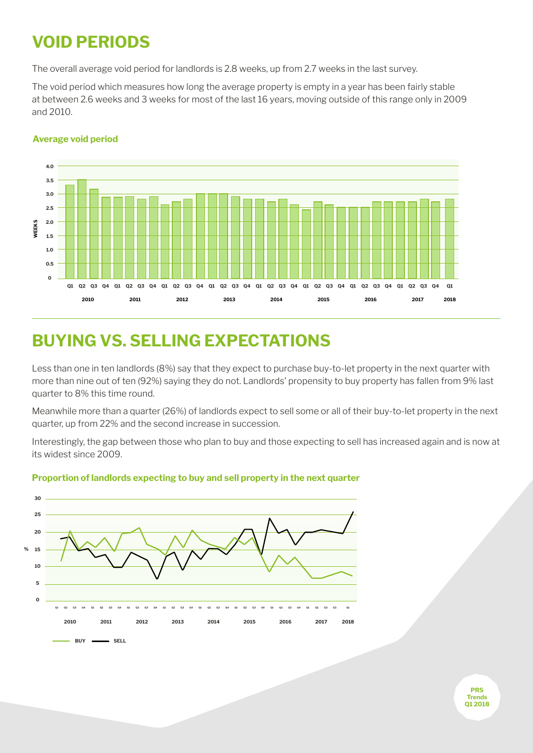### **VOID PERIODS**

The overall average void period for landlords is 2.8 weeks, up from 2.7 weeks in the last survey.

The void period which measures how long the average property is empty in a year has been fairly stable at between 2.6 weeks and 3 weeks for most of the last 16 years, moving outside of this range only in 2009 and 2010.



#### **Average void period**

## **BUYING VS. SELLING EXPECTATIONS**

Less than one in ten landlords (8%) say that they expect to purchase buy-to-let property in the next quarter with more than nine out of ten (92%) saying they do not. Landlords' propensity to buy property has fallen from 9% last quarter to 8% this time round.

Meanwhile more than a quarter (26%) of landlords expect to sell some or all of their buy-to-let property in the next quarter, up from 22% and the second increase in succession.

Interestingly, the gap between those who plan to buy and those expecting to sell has increased again and is now at its widest since 2009.



#### **Proportion of landlords expecting to buy and sell property in the next quarter**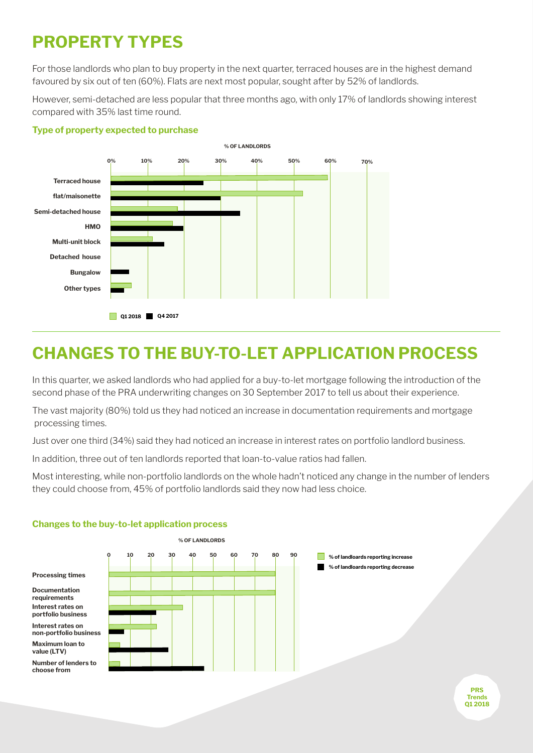## **PROPERTY TYPES**

For those landlords who plan to buy property in the next quarter, terraced houses are in the highest demand favoured by six out of ten (60%). Flats are next most popular, sought after by 52% of landlords.

However, semi-detached are less popular that three months ago, with only 17% of landlords showing interest compared with 35% last time round.

#### **Type of property expected to purchase**



### **CHANGES TO THE BUY-TO-LET APPLICATION PROCESS**

In this quarter, we asked landlords who had applied for a buy-to-let mortgage following the introduction of the second phase of the PRA underwriting changes on 30 September 2017 to tell us about their experience.

The vast majority (80%) told us they had noticed an increase in documentation requirements and mortgage processing times.

Just over one third (34%) said they had noticed an increase in interest rates on portfolio landlord business.

In addition, three out of ten landlords reported that loan-to-value ratios had fallen.

Most interesting, while non-portfolio landlords on the whole hadn't noticed any change in the number of lenders they could choose from, 45% of portfolio landlords said they now had less choice.



#### **Changes to the buy-to-let application process**